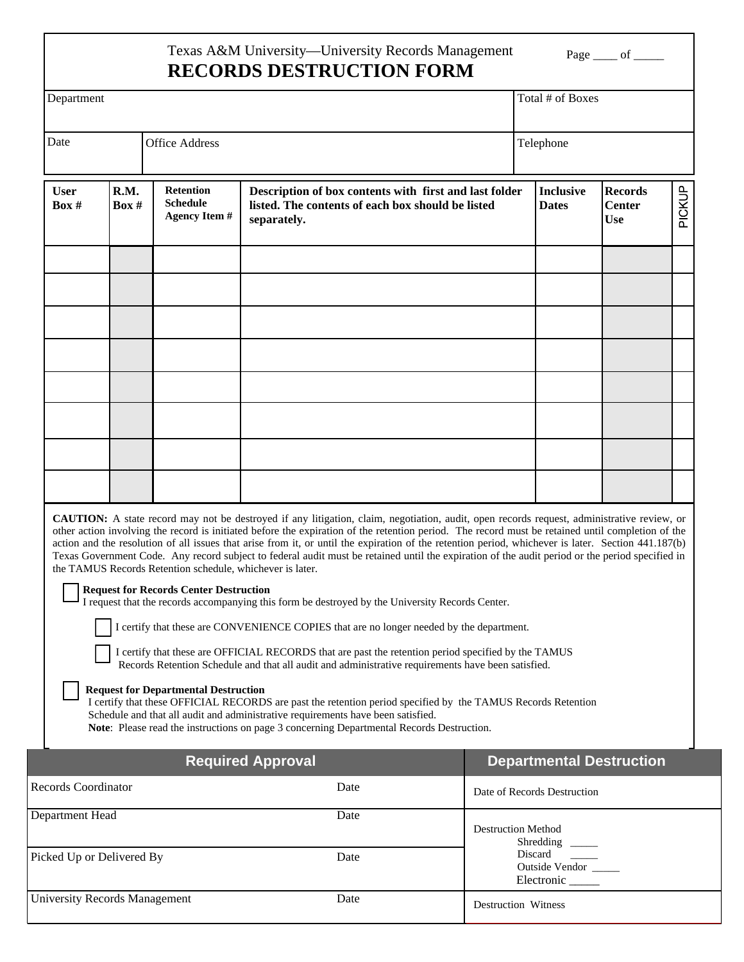## Texas A&M University—University Records Management **RECORDS DESTRUCTION FORM**

Page  $\rule{1em}{0.15mm}$  of  $\rule{1em}{0.15mm}$ 

| Department                           |               |                                                                                                                                                           |                                                                                                                                                                                                                                                                                                                                                                                                                                                                                                                                                                                                                                                                                                                                                                                                                                                                                                                                                                                                                                                                                                                                                                                                                                                                                                                                |                                     | Total # of Boxes                     |                                               |        |  |
|--------------------------------------|---------------|-----------------------------------------------------------------------------------------------------------------------------------------------------------|--------------------------------------------------------------------------------------------------------------------------------------------------------------------------------------------------------------------------------------------------------------------------------------------------------------------------------------------------------------------------------------------------------------------------------------------------------------------------------------------------------------------------------------------------------------------------------------------------------------------------------------------------------------------------------------------------------------------------------------------------------------------------------------------------------------------------------------------------------------------------------------------------------------------------------------------------------------------------------------------------------------------------------------------------------------------------------------------------------------------------------------------------------------------------------------------------------------------------------------------------------------------------------------------------------------------------------|-------------------------------------|--------------------------------------|-----------------------------------------------|--------|--|
| Date                                 |               | <b>Office Address</b>                                                                                                                                     |                                                                                                                                                                                                                                                                                                                                                                                                                                                                                                                                                                                                                                                                                                                                                                                                                                                                                                                                                                                                                                                                                                                                                                                                                                                                                                                                |                                     | Telephone                            |                                               |        |  |
| <b>User</b><br>Box #                 | R.M.<br>Box # | <b>Retention</b><br><b>Schedule</b><br><b>Agency Item#</b>                                                                                                | Description of box contents with first and last folder<br>listed. The contents of each box should be listed<br>separately.                                                                                                                                                                                                                                                                                                                                                                                                                                                                                                                                                                                                                                                                                                                                                                                                                                                                                                                                                                                                                                                                                                                                                                                                     |                                     | <b>Inclusive</b><br><b>Dates</b>     | <b>Records</b><br><b>Center</b><br><b>Use</b> | PICKUP |  |
|                                      |               |                                                                                                                                                           |                                                                                                                                                                                                                                                                                                                                                                                                                                                                                                                                                                                                                                                                                                                                                                                                                                                                                                                                                                                                                                                                                                                                                                                                                                                                                                                                |                                     |                                      |                                               |        |  |
|                                      |               |                                                                                                                                                           |                                                                                                                                                                                                                                                                                                                                                                                                                                                                                                                                                                                                                                                                                                                                                                                                                                                                                                                                                                                                                                                                                                                                                                                                                                                                                                                                |                                     |                                      |                                               |        |  |
|                                      |               |                                                                                                                                                           |                                                                                                                                                                                                                                                                                                                                                                                                                                                                                                                                                                                                                                                                                                                                                                                                                                                                                                                                                                                                                                                                                                                                                                                                                                                                                                                                |                                     |                                      |                                               |        |  |
|                                      |               |                                                                                                                                                           |                                                                                                                                                                                                                                                                                                                                                                                                                                                                                                                                                                                                                                                                                                                                                                                                                                                                                                                                                                                                                                                                                                                                                                                                                                                                                                                                |                                     |                                      |                                               |        |  |
|                                      |               |                                                                                                                                                           |                                                                                                                                                                                                                                                                                                                                                                                                                                                                                                                                                                                                                                                                                                                                                                                                                                                                                                                                                                                                                                                                                                                                                                                                                                                                                                                                |                                     |                                      |                                               |        |  |
|                                      |               |                                                                                                                                                           |                                                                                                                                                                                                                                                                                                                                                                                                                                                                                                                                                                                                                                                                                                                                                                                                                                                                                                                                                                                                                                                                                                                                                                                                                                                                                                                                |                                     |                                      |                                               |        |  |
|                                      |               | the TAMUS Records Retention schedule, whichever is later.<br><b>Request for Records Center Destruction</b><br><b>Request for Departmental Destruction</b> | <b>CAUTION:</b> A state record may not be destroyed if any litigation, claim, negotiation, audit, open records request, administrative review, or<br>other action involving the record is initiated before the expiration of the retention period. The record must be retained until completion of the<br>action and the resolution of all issues that arise from it, or until the expiration of the retention period, whichever is later. Section 441.187(b)<br>Texas Government Code. Any record subject to federal audit must be retained until the expiration of the audit period or the period specified in<br>I request that the records accompanying this form be destroyed by the University Records Center.<br>I certify that these are CONVENIENCE COPIES that are no longer needed by the department.<br>I certify that these are OFFICIAL RECORDS that are past the retention period specified by the TAMUS<br>Records Retention Schedule and that all audit and administrative requirements have been satisfied.<br>I certify that these OFFICIAL RECORDS are past the retention period specified by the TAMUS Records Retention<br>Schedule and that all audit and administrative requirements have been satisfied.<br>Note: Please read the instructions on page 3 concerning Departmental Records Destruction. |                                     |                                      |                                               |        |  |
|                                      |               |                                                                                                                                                           | <b>Required Approval</b>                                                                                                                                                                                                                                                                                                                                                                                                                                                                                                                                                                                                                                                                                                                                                                                                                                                                                                                                                                                                                                                                                                                                                                                                                                                                                                       |                                     | <b>Departmental Destruction</b>      |                                               |        |  |
| <b>Records Coordinator</b><br>Date   |               |                                                                                                                                                           |                                                                                                                                                                                                                                                                                                                                                                                                                                                                                                                                                                                                                                                                                                                                                                                                                                                                                                                                                                                                                                                                                                                                                                                                                                                                                                                                |                                     | Date of Records Destruction          |                                               |        |  |
| Department Head                      |               |                                                                                                                                                           | Date                                                                                                                                                                                                                                                                                                                                                                                                                                                                                                                                                                                                                                                                                                                                                                                                                                                                                                                                                                                                                                                                                                                                                                                                                                                                                                                           |                                     | <b>Destruction Method</b><br>Discard |                                               |        |  |
| Picked Up or Delivered By<br>Date    |               |                                                                                                                                                           | Date                                                                                                                                                                                                                                                                                                                                                                                                                                                                                                                                                                                                                                                                                                                                                                                                                                                                                                                                                                                                                                                                                                                                                                                                                                                                                                                           | <b>Outside Vendor</b><br>Electronic |                                      |                                               |        |  |
| <b>University Records Management</b> |               |                                                                                                                                                           |                                                                                                                                                                                                                                                                                                                                                                                                                                                                                                                                                                                                                                                                                                                                                                                                                                                                                                                                                                                                                                                                                                                                                                                                                                                                                                                                | <b>Destruction Witness</b>          |                                      |                                               |        |  |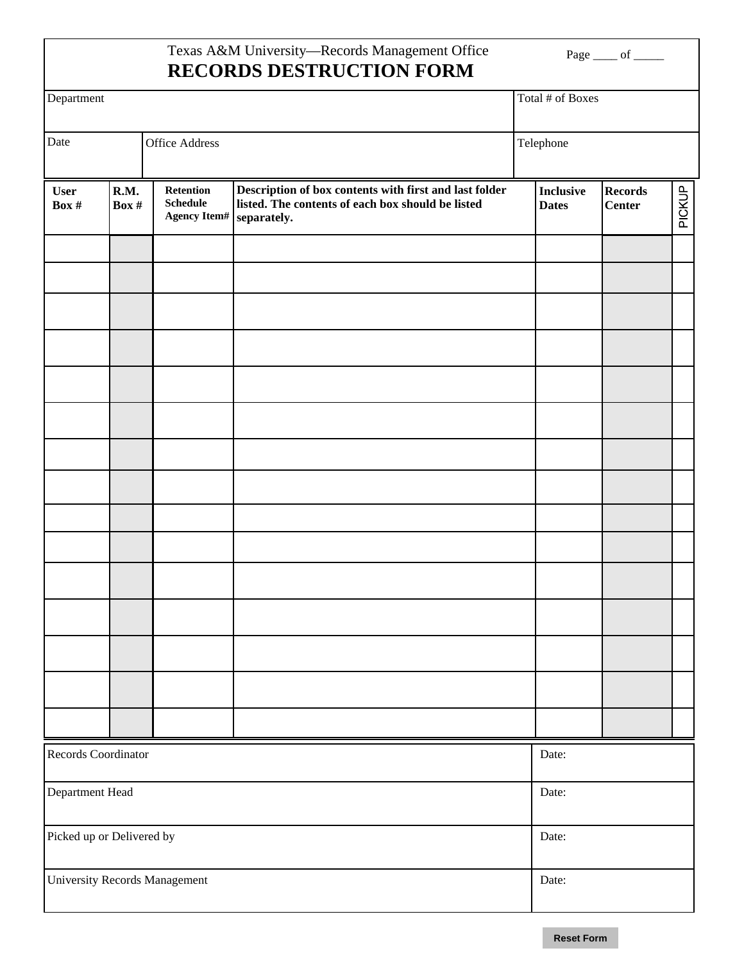## Texas A&M University—Records Management Office **RECORDS DESTRUCTION FORM**

Page <u>\_\_\_\_</u> of \_\_\_\_\_

| Department                           |                 | Total # of Boxes                                    |                                                                                                                            |                                  |                                 |        |  |  |
|--------------------------------------|-----------------|-----------------------------------------------------|----------------------------------------------------------------------------------------------------------------------------|----------------------------------|---------------------------------|--------|--|--|
| Date                                 |                 | <b>Office Address</b>                               |                                                                                                                            |                                  | Telephone                       |        |  |  |
| <b>User</b><br>Box #                 | R.M.<br>Box $#$ | Retention<br><b>Schedule</b><br><b>Agency Item#</b> | Description of box contents with first and last folder<br>listed. The contents of each box should be listed<br>separately. | <b>Inclusive</b><br><b>Dates</b> | <b>Records</b><br><b>Center</b> | PICKUP |  |  |
|                                      |                 |                                                     |                                                                                                                            |                                  |                                 |        |  |  |
|                                      |                 |                                                     |                                                                                                                            |                                  |                                 |        |  |  |
|                                      |                 |                                                     |                                                                                                                            |                                  |                                 |        |  |  |
|                                      |                 |                                                     |                                                                                                                            |                                  |                                 |        |  |  |
|                                      |                 |                                                     |                                                                                                                            |                                  |                                 |        |  |  |
|                                      |                 |                                                     |                                                                                                                            |                                  |                                 |        |  |  |
|                                      |                 |                                                     |                                                                                                                            |                                  |                                 |        |  |  |
|                                      |                 |                                                     |                                                                                                                            |                                  |                                 |        |  |  |
|                                      |                 |                                                     |                                                                                                                            |                                  |                                 |        |  |  |
|                                      |                 |                                                     |                                                                                                                            |                                  |                                 |        |  |  |
|                                      |                 |                                                     |                                                                                                                            |                                  |                                 |        |  |  |
|                                      |                 |                                                     |                                                                                                                            |                                  |                                 |        |  |  |
|                                      |                 |                                                     |                                                                                                                            |                                  |                                 |        |  |  |
|                                      |                 |                                                     |                                                                                                                            |                                  |                                 |        |  |  |
|                                      |                 |                                                     |                                                                                                                            |                                  |                                 |        |  |  |
| Records Coordinator                  |                 |                                                     |                                                                                                                            |                                  | Date:                           |        |  |  |
| Department Head                      |                 | Date:                                               |                                                                                                                            |                                  |                                 |        |  |  |
| Picked up or Delivered by            |                 | Date:                                               |                                                                                                                            |                                  |                                 |        |  |  |
| <b>University Records Management</b> |                 | Date:                                               |                                                                                                                            |                                  |                                 |        |  |  |